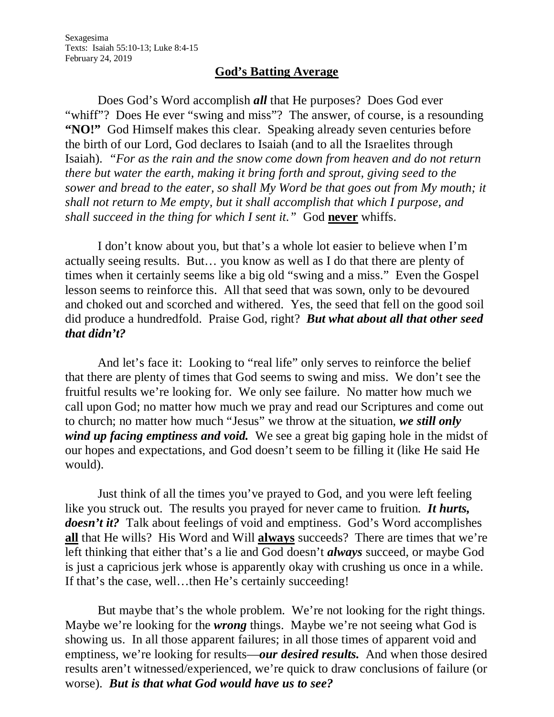## **God's Batting Average**

Does God's Word accomplish *all* that He purposes? Does God ever "whiff"? Does He ever "swing and miss"? The answer, of course, is a resounding **"NO!"** God Himself makes this clear. Speaking already seven centuries before the birth of our Lord, God declares to Isaiah (and to all the Israelites through Isaiah). *"For as the rain and the snow come down from heaven and do not return there but water the earth, making it bring forth and sprout, giving seed to the sower and bread to the eater, so shall My Word be that goes out from My mouth; it shall not return to Me empty, but it shall accomplish that which I purpose, and shall succeed in the thing for which I sent it."* God **never** whiffs.

I don't know about you, but that's a whole lot easier to believe when I'm actually seeing results. But… you know as well as I do that there are plenty of times when it certainly seems like a big old "swing and a miss." Even the Gospel lesson seems to reinforce this. All that seed that was sown, only to be devoured and choked out and scorched and withered. Yes, the seed that fell on the good soil did produce a hundredfold. Praise God, right? *But what about all that other seed that didn't?* 

And let's face it: Looking to "real life" only serves to reinforce the belief that there are plenty of times that God seems to swing and miss. We don't see the fruitful results we're looking for. We only see failure. No matter how much we call upon God; no matter how much we pray and read our Scriptures and come out to church; no matter how much "Jesus" we throw at the situation, *we still only wind up facing emptiness and void.* We see a great big gaping hole in the midst of our hopes and expectations, and God doesn't seem to be filling it (like He said He would).

Just think of all the times you've prayed to God, and you were left feeling like you struck out. The results you prayed for never came to fruition. *It hurts, doesn't it?* Talk about feelings of void and emptiness. God's Word accomplishes **all** that He wills? His Word and Will **always** succeeds? There are times that we're left thinking that either that's a lie and God doesn't *always* succeed, or maybe God is just a capricious jerk whose is apparently okay with crushing us once in a while. If that's the case, well…then He's certainly succeeding!

But maybe that's the whole problem. We're not looking for the right things. Maybe we're looking for the *wrong* things. Maybe we're not seeing what God is showing us. In all those apparent failures; in all those times of apparent void and emptiness, we're looking for results—*our desired results.* And when those desired results aren't witnessed/experienced, we're quick to draw conclusions of failure (or worse). *But is that what God would have us to see?*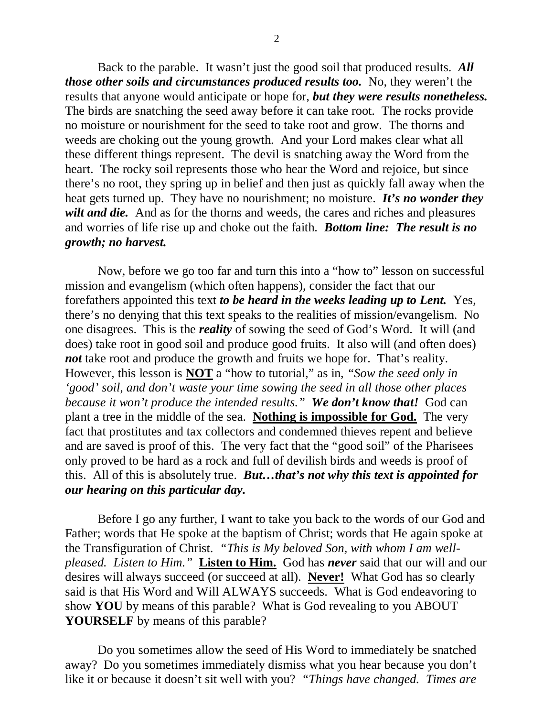Back to the parable. It wasn't just the good soil that produced results. *All those other soils and circumstances produced results too.* No, they weren't the results that anyone would anticipate or hope for, *but they were results nonetheless.* The birds are snatching the seed away before it can take root. The rocks provide no moisture or nourishment for the seed to take root and grow. The thorns and weeds are choking out the young growth. And your Lord makes clear what all these different things represent. The devil is snatching away the Word from the heart. The rocky soil represents those who hear the Word and rejoice, but since there's no root, they spring up in belief and then just as quickly fall away when the heat gets turned up. They have no nourishment; no moisture. *It's no wonder they wilt and die.* And as for the thorns and weeds, the cares and riches and pleasures and worries of life rise up and choke out the faith. *Bottom line: The result is no growth; no harvest.*

Now, before we go too far and turn this into a "how to" lesson on successful mission and evangelism (which often happens), consider the fact that our forefathers appointed this text *to be heard in the weeks leading up to Lent.* Yes, there's no denying that this text speaks to the realities of mission/evangelism. No one disagrees. This is the *reality* of sowing the seed of God's Word. It will (and does) take root in good soil and produce good fruits. It also will (and often does) *not* take root and produce the growth and fruits we hope for. That's reality. However, this lesson is **NOT** a "how to tutorial," as in, *"Sow the seed only in 'good' soil, and don't waste your time sowing the seed in all those other places because it won't produce the intended results." We don't know that!* God can plant a tree in the middle of the sea. **Nothing is impossible for God.** The very fact that prostitutes and tax collectors and condemned thieves repent and believe and are saved is proof of this. The very fact that the "good soil" of the Pharisees only proved to be hard as a rock and full of devilish birds and weeds is proof of this. All of this is absolutely true. *But…that's not why this text is appointed for our hearing on this particular day.*

Before I go any further, I want to take you back to the words of our God and Father; words that He spoke at the baptism of Christ; words that He again spoke at the Transfiguration of Christ. *"This is My beloved Son, with whom I am wellpleased. Listen to Him."* **Listen to Him.** God has *never* said that our will and our desires will always succeed (or succeed at all). **Never!** What God has so clearly said is that His Word and Will ALWAYS succeeds. What is God endeavoring to show **YOU** by means of this parable? What is God revealing to you ABOUT **YOURSELF** by means of this parable?

Do you sometimes allow the seed of His Word to immediately be snatched away? Do you sometimes immediately dismiss what you hear because you don't like it or because it doesn't sit well with you? *"Things have changed. Times are*